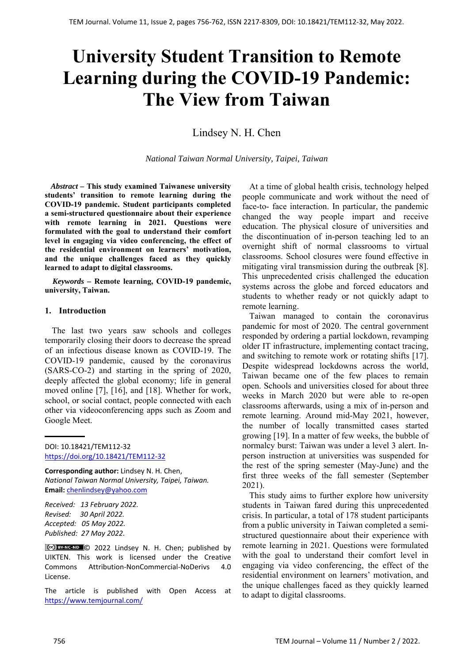# **University Student Transition to Remote Learning during the COVID-19 Pandemic: The View from Taiwan**

Lindsey N. H. Chen

*National Taiwan Normal University, Taipei, Taiwan*

 *Abstract –* **This study examined Taiwanese university students' transition to remote learning during the COVID-19 pandemic. Student participants completed a semi-structured questionnaire about their experience with remote learning in 2021. Questions were formulated with the goal to understand their comfort level in engaging via video conferencing, the effect of the residential environment on learners' motivation, and the unique challenges faced as they quickly learned to adapt to digital classrooms.** 

*Keywords –* **Remote learning, COVID-19 pandemic, university, Taiwan.** 

## **1. Introduction**

The last two years saw schools and colleges temporarily closing their doors to decrease the spread of an infectious disease known as COVID-19. The COVID-19 pandemic, caused by the coronavirus (SARS-CO-2) and starting in the spring of 2020, deeply affected the global economy; life in general moved online [7], [16], and [18]. Whether for work, school, or social contact, people connected with each other via videoconferencing apps such as Zoom and Google Meet.

**Corresponding author:** Lindsey N. H. Chen, *National Taiwan Normal University, Taipei, Taiwan.*  **Email:** chenlindsey@yahoo.com

*Received: 13 February 2022. Revised: 30 April 2022. Accepted: 05 May 2022. Published: 27 May 2022.* 

© 2022 Lindsey N. H. Chen; published by UIKTEN. This work is licensed under the Creative Commons Attribution‐NonCommercial‐NoDerivs 4.0 License.

The article is published with Open Access at https://www.temjournal.com/

At a time of global health crisis, technology helped people communicate and work without the need of face-to- face interaction. In particular, the pandemic changed the way people impart and receive education. The physical closure of universities and the discontinuation of in-person teaching led to an overnight shift of normal classrooms to virtual classrooms. School closures were found effective in mitigating viral transmission during the outbreak [8]. This unprecedented crisis challenged the education systems across the globe and forced educators and students to whether ready or not quickly adapt to remote learning.

Taiwan managed to contain the coronavirus pandemic for most of 2020. The central government responded by ordering a partial lockdown, revamping older IT infrastructure, implementing contact tracing, and switching to remote work or rotating shifts [17]. Despite widespread lockdowns across the world, Taiwan became one of the few places to remain open. Schools and universities closed for about three weeks in March 2020 but were able to re-open classrooms afterwards, using a mix of in-person and remote learning. Around mid-May 2021, however, the number of locally transmitted cases started growing [19]. In a matter of few weeks, the bubble of normalcy burst: Taiwan was under a level 3 alert. Inperson instruction at universities was suspended for the rest of the spring semester (May-June) and the first three weeks of the fall semester (September 2021).

This study aims to further explore how university students in Taiwan fared during this unprecedented crisis. In particular, a total of 178 student participants from a public university in Taiwan completed a semistructured questionnaire about their experience with remote learning in 2021. Questions were formulated with the goal to understand their comfort level in engaging via video conferencing, the effect of the residential environment on learners' motivation, and the unique challenges faced as they quickly learned to adapt to digital classrooms.

DOI: 10.18421/TEM112-32 [https://doi.org/10.18421/TEM112](https://doi.org/10.18421/TEM112-32)-32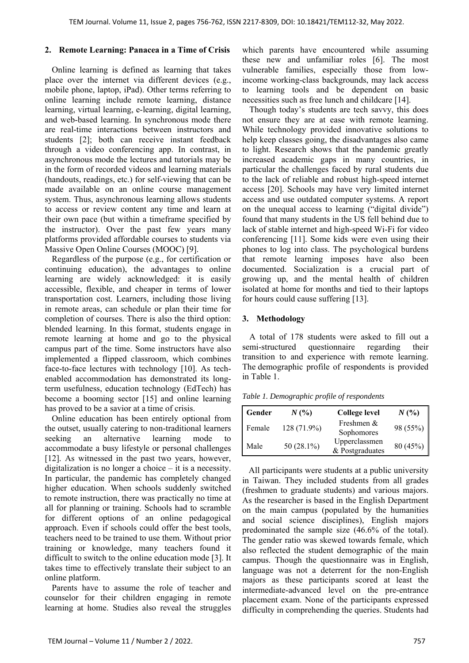## **2. Remote Learning: Panacea in a Time of Crisis**

Online learning is defined as learning that takes place over the internet via different devices (e.g., mobile phone, laptop, iPad). Other terms referring to online learning include remote learning, distance learning, virtual learning, e-learning, digital learning, and web-based learning. In synchronous mode there are real-time interactions between instructors and students [2]; both can receive instant feedback through a video conferencing app. In contrast, in asynchronous mode the lectures and tutorials may be in the form of recorded videos and learning materials (handouts, readings, etc.) for self-viewing that can be made available on an online course management system. Thus, asynchronous learning allows students to access or review content any time and learn at their own pace (but within a timeframe specified by the instructor). Over the past few years many platforms provided affordable courses to students via Massive Open Online Courses (MOOC) [9].

Regardless of the purpose (e.g., for certification or continuing education), the advantages to online learning are widely acknowledged: it is easily accessible, flexible, and cheaper in terms of lower transportation cost. Learners, including those living in remote areas, can schedule or plan their time for completion of courses. There is also the third option: blended learning. In this format, students engage in remote learning at home and go to the physical campus part of the time. Some instructors have also implemented a flipped classroom, which combines face-to-face lectures with technology [10]. As techenabled accommodation has demonstrated its longterm usefulness, education technology (EdTech) has become a booming sector [15] and online learning has proved to be a savior at a time of crisis.

Online education has been entirely optional from the outset, usually catering to non-traditional learners seeking an alternative learning mode to accommodate a busy lifestyle or personal challenges [12]. As witnessed in the past two years, however, digitalization is no longer a choice – it is a necessity. In particular, the pandemic has completely changed higher education. When schools suddenly switched to remote instruction, there was practically no time at all for planning or training. Schools had to scramble for different options of an online pedagogical approach. Even if schools could offer the best tools, teachers need to be trained to use them. Without prior training or knowledge, many teachers found it difficult to switch to the online education mode [3]. It takes time to effectively translate their subject to an online platform.

Parents have to assume the role of teacher and counselor for their children engaging in remote learning at home. Studies also reveal the struggles which parents have encountered while assuming these new and unfamiliar roles [6]. The most vulnerable families, especially those from lowincome working-class backgrounds, may lack access to learning tools and be dependent on basic necessities such as free lunch and childcare [14].

Though today's students are tech savvy, this does not ensure they are at ease with remote learning. While technology provided innovative solutions to help keep classes going, the disadvantages also came to light. Research shows that the pandemic greatly increased academic gaps in many countries, in particular the challenges faced by rural students due to the lack of reliable and robust high-speed internet access [20]. Schools may have very limited internet access and use outdated computer systems. A report on the unequal access to learning ("digital divide") found that many students in the US fell behind due to lack of stable internet and high-speed Wi-Fi for video conferencing [11]. Some kids were even using their phones to log into class. The psychological burdens that remote learning imposes have also been documented. Socialization is a crucial part of growing up, and the mental health of children isolated at home for months and tied to their laptops for hours could cause suffering [13].

## **3. Methodology**

A total of 178 students were asked to fill out a semi-structured questionnaire regarding their transition to and experience with remote learning. The demographic profile of respondents is provided in Table 1.

*Table 1. Demographic profile of respondents* 

| Gender | $N($ %)     | <b>College level</b>             | N(%      |
|--------|-------------|----------------------------------|----------|
| Female | 128 (71.9%) | Freshmen &<br>Sophomores         | 98 (55%) |
| Male   | 50 (28.1%)  | Upperclassmen<br>& Postgraduates | 80 (45%) |

 All participants were students at a public university in Taiwan. They included students from all grades (freshmen to graduate students) and various majors. As the researcher is based in the English Department on the main campus (populated by the humanities and social science disciplines), English majors predominated the sample size (46.6% of the total). The gender ratio was skewed towards female, which also reflected the student demographic of the main campus. Though the questionnaire was in English, language was not a deterrent for the non-English majors as these participants scored at least the intermediate-advanced level on the pre-entrance placement exam. None of the participants expressed difficulty in comprehending the queries. Students had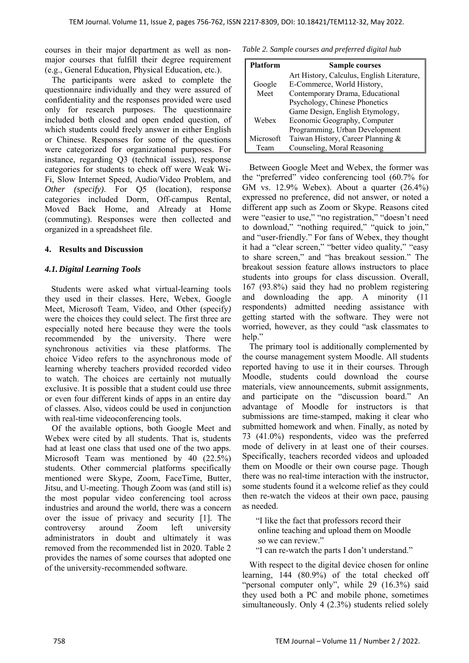courses in their major department as well as nonmajor courses that fulfill their degree requirement (e.g., General Education, Physical Education, etc.).

The participants were asked to complete the questionnaire individually and they were assured of confidentiality and the responses provided were used only for research purposes. The questionnaire included both closed and open ended question, of which students could freely answer in either English or Chinese. Responses for some of the questions were categorized for organizational purposes. For instance, regarding Q3 (technical issues), response categories for students to check off were Weak Wi-Fi, Slow Internet Speed, Audio/Video Problem, and *Other (specify)*. For Q5 (location), response categories included Dorm, Off-campus Rental, Moved Back Home, and Already at Home (commuting). Responses were then collected and organized in a spreadsheet file.

# **4. Results and Discussion**

# *4.1.Digital Learning Tools*

Students were asked what virtual-learning tools they used in their classes. Here, Webex, Google Meet, Microsoft Team, Video, and Other (specify*)* were the choices they could select. The first three are especially noted here because they were the tools recommended by the university. There were synchronous activities via these platforms. The choice Video refers to the asynchronous mode of learning whereby teachers provided recorded video to watch. The choices are certainly not mutually exclusive. It is possible that a student could use three or even four different kinds of apps in an entire day of classes. Also, videos could be used in conjunction with real-time videoconferencing tools.

Of the available options, both Google Meet and Webex were cited by all students. That is, students had at least one class that used one of the two apps. Microsoft Team was mentioned by 40 (22.5%) students. Other commercial platforms specifically mentioned were Skype, Zoom, FaceTime, Butter, Jitsu, and U-meeting. Though Zoom was (and still is) the most popular video conferencing tool across industries and around the world, there was a concern over the issue of privacy and security [1]. The controversy around Zoom left university administrators in doubt and ultimately it was removed from the recommended list in 2020. Table 2 provides the names of some courses that adopted one of the university-recommended software.

*Table 2. Sample courses and preferred digital hub* 

| <b>Platform</b> | <b>Sample courses</b>                      |
|-----------------|--------------------------------------------|
|                 | Art History, Calculus, English Literature, |
| Google          | E-Commerce, World History,                 |
| Meet            | Contemporary Drama, Educational            |
|                 | Psychology, Chinese Phonetics              |
| Webex           | Game Design, English Etymology,            |
|                 | Economic Geography, Computer               |
|                 | Programming, Urban Development             |
| Microsoft       | Taiwan History, Career Planning &          |
| Team            | Counseling, Moral Reasoning                |

Between Google Meet and Webex, the former was the "preferred" video conferencing tool (60.7% for GM vs. 12.9% Webex). About a quarter (26.4%) expressed no preference, did not answer, or noted a different app such as Zoom or Skype. Reasons cited were "easier to use," "no registration," "doesn't need to download," "nothing required," "quick to join," and "user-friendly." For fans of Webex, they thought it had a "clear screen," "better video quality," "easy to share screen," and "has breakout session." The breakout session feature allows instructors to place students into groups for class discussion. Overall, 167 (93.8%) said they had no problem registering and downloading the app. A minority (11 respondents) admitted needing assistance with getting started with the software. They were not worried, however, as they could "ask classmates to help."

The primary tool is additionally complemented by the course management system Moodle. All students reported having to use it in their courses. Through Moodle, students could download the course materials, view announcements, submit assignments, and participate on the "discussion board." An advantage of Moodle for instructors is that submissions are time-stamped, making it clear who submitted homework and when. Finally, as noted by 73 (41.0%) respondents, video was the preferred mode of delivery in at least one of their courses. Specifically, teachers recorded videos and uploaded them on Moodle or their own course page. Though there was no real-time interaction with the instructor, some students found it a welcome relief as they could then re-watch the videos at their own pace, pausing as needed.

 "I like the fact that professors record their online teaching and upload them on Moodle so we can review."

"I can re-watch the parts I don't understand."

With respect to the digital device chosen for online learning, 144 (80.9%) of the total checked off "personal computer only", while 29 (16.3%) said they used both a PC and mobile phone, sometimes simultaneously. Only 4 (2.3%) students relied solely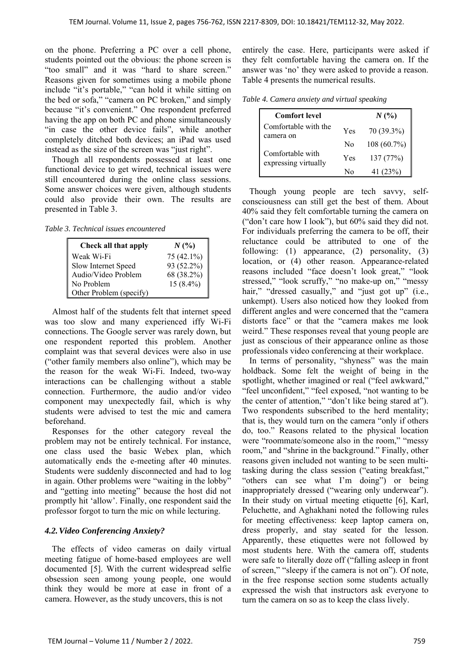on the phone. Preferring a PC over a cell phone, students pointed out the obvious: the phone screen is "too small" and it was "hard to share screen." Reasons given for sometimes using a mobile phone include "it's portable," "can hold it while sitting on the bed or sofa," "camera on PC broken," and simply because "it's convenient." One respondent preferred having the app on both PC and phone simultaneously "in case the other device fails", while another completely ditched both devices; an iPad was used instead as the size of the screen was "just right".

Though all respondents possessed at least one functional device to get wired, technical issues were still encountered during the online class sessions. Some answer choices were given, although students could also provide their own. The results are presented in Table 3.

*Table 3. Technical issues encountered* 

| Check all that apply    | $N($ %)     |
|-------------------------|-------------|
| Weak Wi-Fi              | 75 (42.1%)  |
| Slow Internet Speed     | 93 (52.2%)  |
| Audio/Video Problem     | 68 (38.2%)  |
| No Problem              | $15(8.4\%)$ |
| Other Problem (specify) |             |

Almost half of the students felt that internet speed was too slow and many experienced iffy Wi-Fi connections. The Google server was rarely down, but one respondent reported this problem. Another complaint was that several devices were also in use ("other family members also online"), which may be the reason for the weak Wi-Fi. Indeed, two-way interactions can be challenging without a stable connection. Furthermore, the audio and/or video component may unexpectedly fail, which is why students were advised to test the mic and camera beforehand.

Responses for the other category reveal the problem may not be entirely technical. For instance, one class used the basic Webex plan, which automatically ends the e-meeting after 40 minutes. Students were suddenly disconnected and had to log in again. Other problems were "waiting in the lobby" and "getting into meeting" because the host did not promptly hit 'allow'. Finally, one respondent said the professor forgot to turn the mic on while lecturing.

## *4.2.Video Conferencing Anxiety?*

The effects of video cameras on daily virtual meeting fatigue of home-based employees are well documented [5]. With the current widespread selfie obsession seen among young people, one would think they would be more at ease in front of a camera. However, as the study uncovers, this is not

entirely the case. Here, participants were asked if they felt comfortable having the camera on. If the answer was 'no' they were asked to provide a reason. Table 4 presents the numerical results.

*Table 4. Camera anxiety and virtual speaking* 

| <b>Comfort level</b>                     |     | $N($ %)     |
|------------------------------------------|-----|-------------|
| Comfortable with the<br>camera on        | Yes | 70 (39.3%)  |
|                                          | No  | 108 (60.7%) |
| Comfortable with<br>expressing virtually | Yes | 137 (77%)   |
|                                          | N٥  | 41 (23%)    |

Though young people are tech savvy, selfconsciousness can still get the best of them. About 40% said they felt comfortable turning the camera on ("don't care how I look"), but 60% said they did not. For individuals preferring the camera to be off, their reluctance could be attributed to one of the following: (1) appearance, (2) personality, (3) location, or (4) other reason. Appearance-related reasons included "face doesn't look great," "look stressed," "look scruffy," "no make-up on," "messy hair," "dressed casually," and "just got up" (i.e., unkempt). Users also noticed how they looked from different angles and were concerned that the "camera distorts face" or that the "camera makes me look weird." These responses reveal that young people are just as conscious of their appearance online as those professionals video conferencing at their workplace.

In terms of personality, "shyness" was the main holdback. Some felt the weight of being in the spotlight, whether imagined or real ("feel awkward," "feel unconfident," "feel exposed, "not wanting to be the center of attention," "don't like being stared at"). Two respondents subscribed to the herd mentality; that is, they would turn on the camera "only if others do, too." Reasons related to the physical location were "roommate/someone also in the room," "messy room," and "shrine in the background." Finally, other reasons given included not wanting to be seen multitasking during the class session ("eating breakfast," "others can see what I'm doing") or being inappropriately dressed ("wearing only underwear"). In their study on virtual meeting etiquette [6], Karl, Peluchette, and Aghakhani noted the following rules for meeting effectiveness: keep laptop camera on, dress properly, and stay seated for the lesson. Apparently, these etiquettes were not followed by most students here. With the camera off, students were safe to literally doze off ("falling asleep in front of screen," "sleepy if the camera is not on"). Of note, in the free response section some students actually expressed the wish that instructors ask everyone to turn the camera on so as to keep the class lively.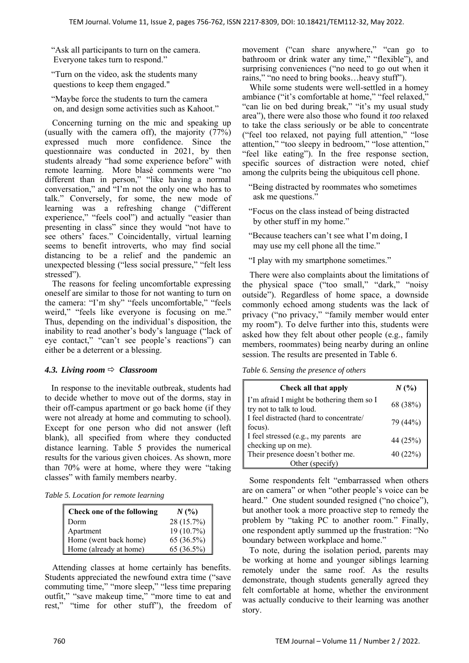"Ask all participants to turn on the camera. Everyone takes turn to respond."

 "Turn on the video, ask the students many questions to keep them engaged."

 "Maybe force the students to turn the camera on, and design some activities such as Kahoot."

Concerning turning on the mic and speaking up (usually with the camera off), the majority (77%) expressed much more confidence. Since the questionnaire was conducted in 2021, by then students already "had some experience before" with remote learning. More blasé comments were "no different than in person," "like having a normal conversation," and "I'm not the only one who has to talk." Conversely, for some, the new mode of learning was a refreshing change ("different experience," "feels cool") and actually "easier than presenting in class" since they would "not have to see others' faces." Coincidentally, virtual learning seems to benefit introverts, who may find social distancing to be a relief and the pandemic an unexpected blessing ("less social pressure," "felt less stressed").

The reasons for feeling uncomfortable expressing oneself are similar to those for not wanting to turn on the camera: "I'm shy" "feels uncomfortable," "feels weird," "feels like everyone is focusing on me." Thus, depending on the individual's disposition, the inability to read another's body's language ("lack of eye contact," "can't see people's reactions") can either be a deterrent or a blessing.

# *4.3. Living room*  $⇒$  *Classroom*

 In response to the inevitable outbreak, students had to decide whether to move out of the dorms, stay in their off-campus apartment or go back home (if they were not already at home and commuting to school). Except for one person who did not answer (left blank), all specified from where they conducted distance learning. Table 5 provides the numerical results for the various given choices. As shown, more than 70% were at home, where they were "taking classes" with family members nearby.

*Table 5. Location for remote learning* 

| Check one of the following | $N($ %)    |
|----------------------------|------------|
| Dorm                       | 28 (15.7%) |
| Apartment                  | 19 (10.7%) |
| Home (went back home)      | 65 (36.5%) |
| Home (already at home)     | 65 (36.5%) |

Attending classes at home certainly has benefits. Students appreciated the newfound extra time ("save commuting time," "more sleep," "less time preparing outfit," "save makeup time," "more time to eat and rest," "time for other stuff"), the freedom of movement ("can share anywhere," "can go to bathroom or drink water any time," "flexible"), and surprising conveniences ("no need to go out when it rains," "no need to bring books…heavy stuff").

While some students were well-settled in a homey ambiance ("it's comfortable at home," "feel relaxed," "can lie on bed during break," "it's my usual study area"), there were also those who found it *too* relaxed to take the class seriously or be able to concentrate ("feel too relaxed, not paying full attention," "lose attention," "too sleepy in bedroom," "lose attention," "feel like eating"). In the free response section, specific sources of distraction were noted, chief among the culprits being the ubiquitous cell phone.

 "Being distracted by roommates who sometimes ask me questions."

 "Focus on the class instead of being distracted by other stuff in my home."

 "Because teachers can't see what I'm doing, I may use my cell phone all the time."

"I play with my smartphone sometimes."

There were also complaints about the limitations of the physical space ("too small," "dark," "noisy outside"). Regardless of home space, a downside commonly echoed among students was the lack of privacy ("no privacy," "family member would enter my room"). To delve further into this, students were asked how they felt about other people (e.g., family members, roommates) being nearby during an online session. The results are presented in Table 6.

*Table 6. Sensing the presence of others* 

| Check all that apply                                                  | $N($ %)  |
|-----------------------------------------------------------------------|----------|
| I'm afraid I might be bothering them so I<br>try not to talk to loud. | 68 (38%) |
| I feel distracted (hard to concentrate/<br>focus).                    | 79 (44%) |
| I feel stressed (e.g., my parents are<br>checking up on me).          | 44 (25%) |
| Their presence doesn't bother me.                                     | 40 (22%) |
| Other (specify)                                                       |          |

Some respondents felt "embarrassed when others are on camera" or when "other people's voice can be heard." One student sounded resigned ("no choice"), but another took a more proactive step to remedy the problem by "taking PC to another room." Finally, one respondent aptly summed up the frustration: "No boundary between workplace and home."

To note, during the isolation period, parents may be working at home and younger siblings learning remotely under the same roof. As the results demonstrate, though students generally agreed they felt comfortable at home, whether the environment was actually conducive to their learning was another story.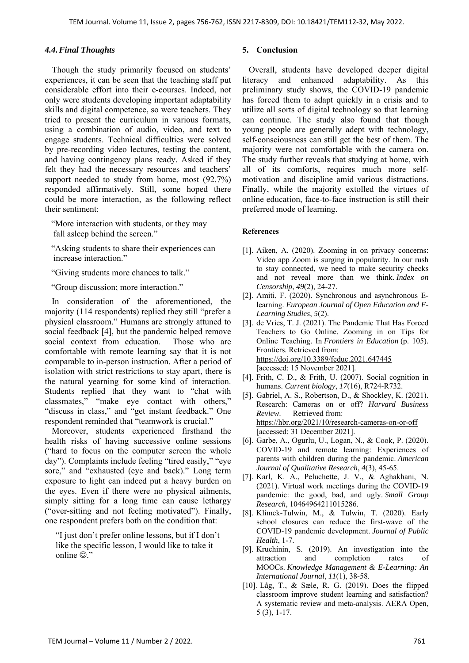## *4.4.Final Thoughts*

Though the study primarily focused on students' experiences, it can be seen that the teaching staff put considerable effort into their e-courses. Indeed, not only were students developing important adaptability skills and digital competence, so were teachers. They tried to present the curriculum in various formats, using a combination of audio, video, and text to engage students. Technical difficulties were solved by pre-recording video lectures, testing the content, and having contingency plans ready. Asked if they felt they had the necessary resources and teachers' support needed to study from home, most (92.7%) responded affirmatively. Still, some hoped there could be more interaction, as the following reflect their sentiment:

 "More interaction with students, or they may fall asleep behind the screen."

- "Asking students to share their experiences can increase interaction."
- "Giving students more chances to talk."
- "Group discussion; more interaction."

In consideration of the aforementioned, the majority (114 respondents) replied they still "prefer a physical classroom." Humans are strongly attuned to social feedback [4], but the pandemic helped remove social context from education. Those who are comfortable with remote learning say that it is not comparable to in-person instruction. After a period of isolation with strict restrictions to stay apart, there is the natural yearning for some kind of interaction. Students replied that they want to "chat with classmates," "make eye contact with others," "discuss in class," and "get instant feedback." One respondent reminded that "teamwork is crucial."

Moreover, students experienced firsthand the health risks of having successive online sessions ("hard to focus on the computer screen the whole day"). Complaints include feeling "tired easily," "eye sore," and "exhausted (eye and back)." Long term exposure to light can indeed put a heavy burden on the eyes. Even if there were no physical ailments, simply sitting for a long time can cause lethargy ("over-sitting and not feeling motivated"). Finally, one respondent prefers both on the condition that:

 "I just don't prefer online lessons, but if I don't like the specific lesson, I would like to take it online  $\overline{\odot}$ ."

## **5. Conclusion**

 Overall, students have developed deeper digital literacy and enhanced adaptability. As this preliminary study shows, the COVID-19 pandemic has forced them to adapt quickly in a crisis and to utilize all sorts of digital technology so that learning can continue. The study also found that though young people are generally adept with technology, self-consciousness can still get the best of them. The majority were not comfortable with the camera on. The study further reveals that studying at home, with all of its comforts, requires much more selfmotivation and discipline amid various distractions. Finally, while the majority extolled the virtues of online education, face-to-face instruction is still their preferred mode of learning.

#### **References**

- [1]. Aiken, A. (2020). Zooming in on privacy concerns: Video app Zoom is surging in popularity. In our rush to stay connected, we need to make security checks and not reveal more than we think. *Index on Censorship*, *49*(2), 24-27.
- [2]. Amiti, F. (2020). Synchronous and asynchronous Elearning. *European Journal of Open Education and E-Learning Studies*, *5*(2).
- [3]. de Vries, T. J. (2021). The Pandemic That Has Forced Teachers to Go Online. Zooming in on Tips for Online Teaching. In *Frontiers in Education* (p. 105). Frontiers. Retrieved from: https://doi.org/10.3389/feduc.2021.647445 [accessed: 15 November 2021].
- [4]. Frith, C. D., & Frith, U. (2007). Social cognition in humans. *Current biology*, *17*(16), R724-R732.
- [5]. Gabriel, A. S., Robertson, D., & Shockley, K. (2021). Research: Cameras on or off? *Harvard Business Review*. Retrieved from: https://hbr.org/2021/10/research-cameras-on-or-off [accessed: 31 December 2021].
- [6]. Garbe, A., Ogurlu, U., Logan, N., & Cook, P. (2020). COVID-19 and remote learning: Experiences of parents with children during the pandemic. *American Journal of Qualitative Research*, *4*(3), 45-65.
- [7]. Karl, K. A., Peluchette, J. V., & Aghakhani, N. (2021). Virtual work meetings during the COVID-19 pandemic: the good, bad, and ugly. *Small Group Research*, 10464964211015286.
- [8]. Klimek-Tulwin, M., & Tulwin, T. (2020). Early school closures can reduce the first-wave of the COVID-19 pandemic development. *Journal of Public Health*, 1-7.
- [9]. Kruchinin, S. (2019). An investigation into the attraction and completion rates of MOOCs. *Knowledge Management & E-Learning: An International Journal*, *11*(1), 38-58.
- [10]. Låg, T., & Sæle, R. G. (2019). Does the flipped classroom improve student learning and satisfaction? A systematic review and meta-analysis. AERA Open, 5 (3), 1-17.